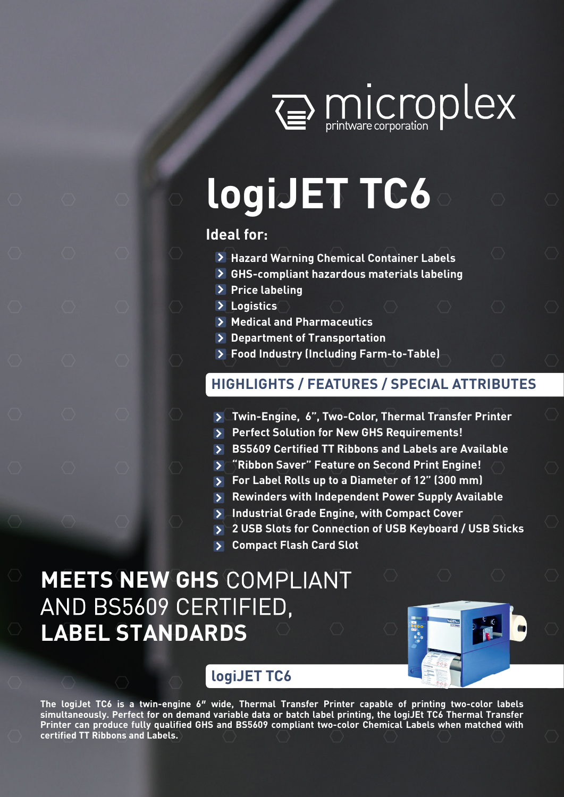

# **logiJET TC6**

# **Ideal for:**

- **Hazard Warning Chemical Container Labels**
- **GHS-compliant hazardous materials labeling**
- **Price labeling**
- **Logistics**
- **Medical and Pharmaceutics**
- **Department of Transportation**
- **Food Industry (Including Farm-to-Table)**

# **HIGHLIGHTS / FEATURES / SPECIAL ATTRIBUTES**

- **Twin-Engine, 6", Two-Color, Thermal Transfer Printer**
- **Perfect Solution for New GHS Requirements!**
- **BS5609 Certified TT Ribbons and Labels are Available**
- **"Ribbon Saver" Feature on Second Print Engine!**
- **For Label Rolls up to a Diameter of 12" (300 mm)**
- **Rewinders with Independent Power Supply Available**
- **Industrial Grade Engine, with Compact Cover**
- **2 USB Slots for Connection of USB Keyboard / USB Sticks**
- **Compact Flash Card Slot**

# **MEETS NEW GHS** COMPLIANT AND BS5609 CERTIFIED, **LABEL STANDARDS**



# **logiJET TC6**

**The logiJet TC6 is a twin-engine 6″ wide, Thermal Transfer Printer capable of printing two-color labels simultaneously. Perfect for on demand variable data or batch label printing, the logiJEt TC6 Thermal Transfer Printer can produce fully qualified GHS and BS5609 compliant two-color Chemical Labels when matched with certified TT Ribbons and Labels.**